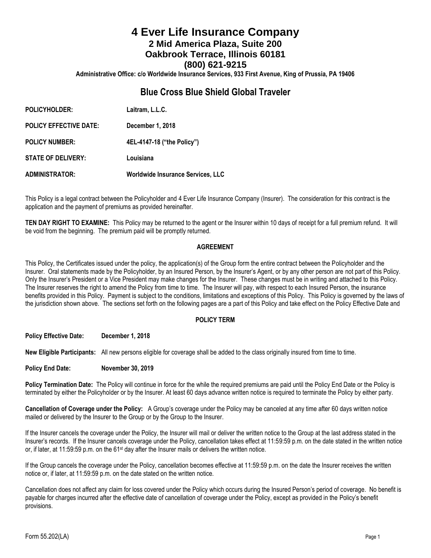# **4 Ever Life Insurance Company 2 Mid America Plaza, Suite 200 Oakbrook Terrace, Illinois 60181 (800) 621-9215**

**Administrative Office: c/o Worldwide Insurance Services, 933 First Avenue, King of Prussia, PA 19406**

## **Blue Cross Blue Shield Global Traveler**

| <b>POLICYHOLDER:</b>          | Laitram, L.L.C.                          |
|-------------------------------|------------------------------------------|
| <b>POLICY EFFECTIVE DATE:</b> | December 1, 2018                         |
| <b>POLICY NUMBER:</b>         | 4EL-4147-18 ("the Policy")               |
| <b>STATE OF DELIVERY:</b>     | Louisiana                                |
| <b>ADMINISTRATOR:</b>         | <b>Worldwide Insurance Services, LLC</b> |

This Policy is a legal contract between the Policyholder and 4 Ever Life Insurance Company (Insurer). The consideration for this contract is the application and the payment of premiums as provided hereinafter.

**TEN DAY RIGHT TO EXAMINE:** This Policy may be returned to the agent or the Insurer within 10 days of receipt for a full premium refund. It will be void from the beginning. The premium paid will be promptly returned.

#### **AGREEMENT**

This Policy, the Certificates issued under the policy, the application(s) of the Group form the entire contract between the Policyholder and the Insurer. Oral statements made by the Policyholder, by an Insured Person, by the Insurer's Agent, or by any other person are not part of this Policy. Only the Insurer's President or a Vice President may make changes for the Insurer. These changes must be in writing and attached to this Policy. The Insurer reserves the right to amend the Policy from time to time. The Insurer will pay, with respect to each Insured Person, the insurance benefits provided in this Policy. Payment is subject to the conditions, limitations and exceptions of this Policy. This Policy is governed by the laws of the jurisdiction shown above. The sections set forth on the following pages are a part of this Policy and take effect on the Policy Effective Date and

## **POLICY TERM**

**Policy Effective Date: December 1, 2018**

**New Eligible Participants:** All new persons eligible for coverage shall be added to the class originally insured from time to time.

#### **Policy End Date: November 30, 2019**

**Policy Termination Date:** The Policy will continue in force for the while the required premiums are paid until the Policy End Date or the Policy is terminated by either the Policyholder or by the Insurer. At least 60 days advance written notice is required to terminate the Policy by either party.

**Cancellation of Coverage under the Policy:** A Group's coverage under the Policy may be canceled at any time after 60 days written notice mailed or delivered by the Insurer to the Group or by the Group to the Insurer.

If the Insurer cancels the coverage under the Policy, the Insurer will mail or deliver the written notice to the Group at the last address stated in the Insurer's records. If the Insurer cancels coverage under the Policy, cancellation takes effect at 11:59:59 p.m. on the date stated in the written notice or, if later, at 11:59:59 p.m. on the 61<sup>st</sup> day after the Insurer mails or delivers the written notice.

If the Group cancels the coverage under the Policy, cancellation becomes effective at 11:59:59 p.m. on the date the Insurer receives the written notice or, if later, at 11:59:59 p.m. on the date stated on the written notice.

Cancellation does not affect any claim for loss covered under the Policy which occurs during the Insured Person's period of coverage. No benefit is payable for charges incurred after the effective date of cancellation of coverage under the Policy, except as provided in the Policy's benefit provisions.